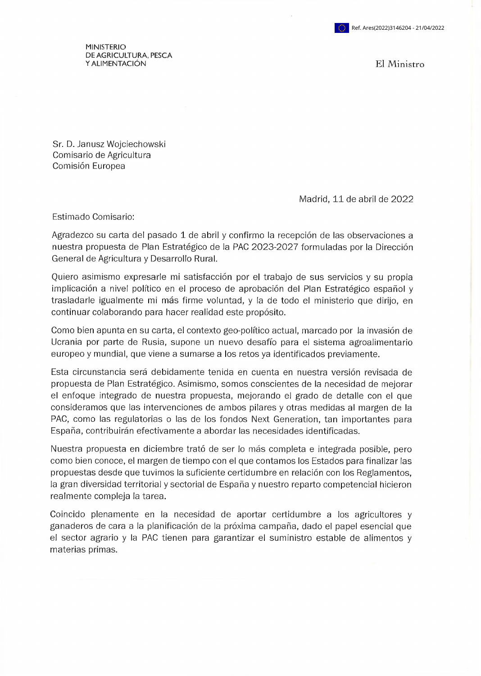MINISTERIO DE AGRICULTURA, PESCA <sup>Y</sup> ALIMENTACIÓN El Ministro

Sr. D. Janusz Wojciechowski Comisario de Agricultura Comisión Europea

Madrid, 11 de abril de 2022

Estimado Comisario:

Agradezco su carta del pasado 1 de abril y confirmo la recepción de las observaciones a nuestra propuesta de Plan Estratégico de la PAC 2023-2027 formuladas por la Dirección General de Agricultura y Desarrollo Rural.

Quiero asimismo expresarle mi satisfacción por el trabajo de sus servicios y su propia implicación a nivel político en el proceso de aprobación del Plan Estratégico español y trasladarle igualmente mi más firme voluntad, y la de todo el ministerio que dirijo, en continuar colaborando para hacer realidad este propósito.

Como bien apunta en su carta, el contexto geo-político actual, marcado por la invasión de Ucrania por parte de Rusia, supone un nuevo desafío para el sistema agroalimentario europeo y mundial, que viene a sumarse a los retos ya identificados previamente.

Esta circunstancia será debidamente tenida en cuenta en nuestra versión revisada de propuesta de Plan Estratégico. Asimismo, somos conscientes de la necesidad de mejorar el enfoque integrado de nuestra propuesta, mejorando el grado de detalle con el que consideramos que las intervenciones de ambos pilares y otras medidas al margen de la PAC, como las regulatorias o las de los fondos Next Generation, tan importantes para España, contribuirán efectivamente a abordar las necesidades identificadas.

Nuestra propuesta en diciembre trató de ser lo más completa e integrada posible, pero como bien conoce, el margen de tiempo con el que contamos los Estados para finalizar las propuestas desde que tuvimos la suficiente certidumbre en relación con los Reglamentos, la gran diversidad territorial y sectorial de España y nuestro reparto competencial hicieron realmente compleja la tarea.

Coincido plenamente en la necesidad de aportar certidumbre a los agricultores y ganaderos de cara a la planificación de la próxima campaña, dado el papel esencial que el sector agrario y la PAC tienen para garantizar el suministro estable de alimentos y materias primas.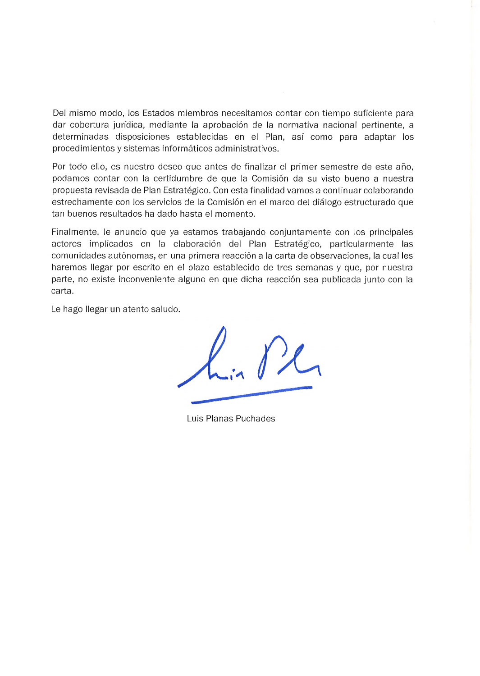Del mismo modo, los Estados miembros necesitamos contar con tiempo suficiente para dar cobertura jurídica, mediante la aprobación de la normativa nacional pertinente, a determinadas disposiciones establecidas en el Plan, así como para adaptar los procedimientos y sistemas informáticos administrativos.

Por todo ello, es nuestro deseo que antes de finalizar el primer semestre de este año, podamos contar con la certidumbre de que la Comisión da su visto bueno a nuestra propuesta revisada de Plan Estratégico. Con esta finalidad vamos a continuar colaborando estrechamente con los servicios de la Comisión en el marco del diálogo estructurado que tan buenos resultados ha dado hasta el momento.

Finalmente, le anuncio que ya estamos trabajando conjuntamente con los principales actores implicados en la elaboración del Plan Estratégico, particularmente las comunidades autónomas, en una primera reacción a la carta de observaciones, la cual les haremos llegar por escrito en el plazo establecido de tres semanas y que, por nuestra parte, no existe inconveniente alguno en que dicha reacción sea publicada junto con la carta.

Le hago llegar un atento saludo.

Luis Planas Puchades